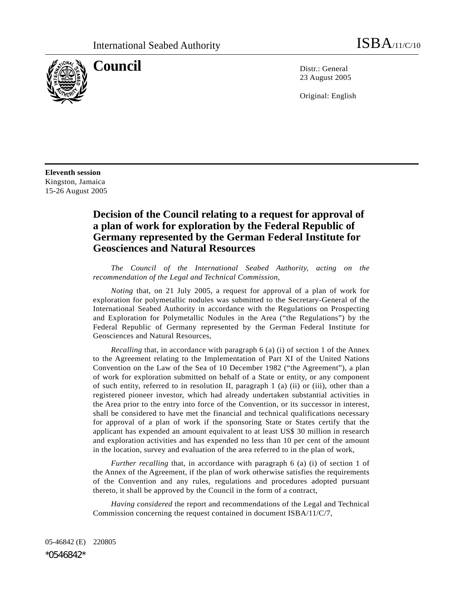

**Council** Distribution Distribution Distribution Distribution Distribution Distribution Distribution Distribution Distribution Distribution Distribution Distribution Distribution Distribution Distribution Distribution Dist 23 August 2005

Original: English

**Eleventh session**  Kingston, Jamaica 15-26 August 2005

## **Decision of the Council relating to a request for approval of a plan of work for exploration by the Federal Republic of Germany represented by the German Federal Institute for Geosciences and Natural Resources**

 *The Council of the International Seabed Authority, acting on the recommendation of the Legal and Technical Commission*,

*Noting* that, on 21 July 2005, a request for approval of a plan of work for exploration for polymetallic nodules was submitted to the Secretary-General of the International Seabed Authority in accordance with the Regulations on Prospecting and Exploration for Polymetallic Nodules in the Area ("the Regulations") by the Federal Republic of Germany represented by the German Federal Institute for Geosciences and Natural Resources,

*Recalling* that, in accordance with paragraph 6 (a) (i) of section 1 of the Annex to the Agreement relating to the Implementation of Part XI of the United Nations Convention on the Law of the Sea of 10 December 1982 ("the Agreement"), a plan of work for exploration submitted on behalf of a State or entity, or any component of such entity, referred to in resolution II, paragraph 1 (a) (ii) or (iii), other than a registered pioneer investor, which had already undertaken substantial activities in the Area prior to the entry into force of the Convention, or its successor in interest, shall be considered to have met the financial and technical qualifications necessary for approval of a plan of work if the sponsoring State or States certify that the applicant has expended an amount equivalent to at least US\$ 30 million in research and exploration activities and has expended no less than 10 per cent of the amount in the location, survey and evaluation of the area referred to in the plan of work,

*Further recalling* that, in accordance with paragraph 6 (a) (i) of section 1 of the Annex of the Agreement, if the plan of work otherwise satisfies the requirements of the Convention and any rules, regulations and procedures adopted pursuant thereto, it shall be approved by the Council in the form of a contract,

*Having considered* the report and recommendations of the Legal and Technical Commission concerning the request contained in document ISBA/11/C/7,

05-46842 (E) 220805 \*0546842\*